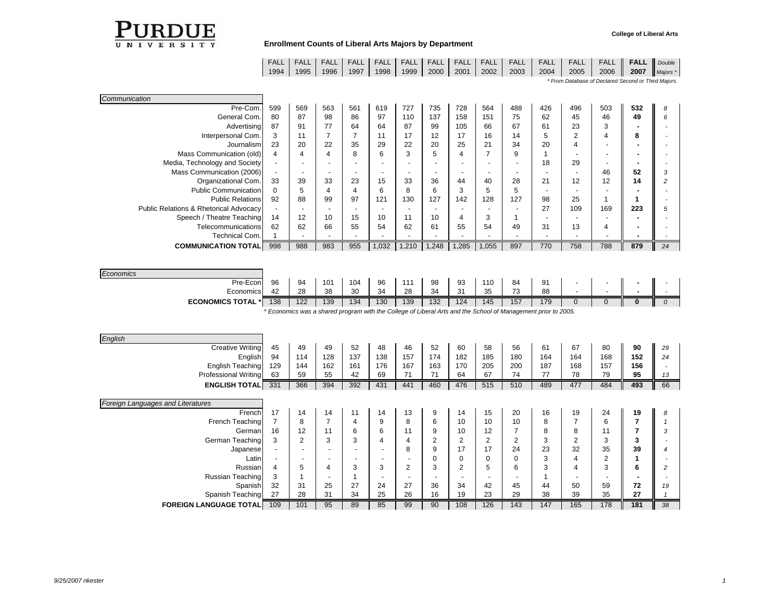

|      | FALL   FALL   FALL   FALL   FALL   FALL   FALL   FALL |      |      |      |      |      |      |      | FALL |      | L <b>  FALL   FALL  </b> |      | FALL FALL Double |                 |
|------|-------------------------------------------------------|------|------|------|------|------|------|------|------|------|--------------------------|------|------------------|-----------------|
| 1994 | 1995                                                  | 1996 | 1997 | 1998 | 1999 | 2000 | 2001 | 2002 | 2003 | 2004 | 2005                     | 2006 |                  | 2007 $Majors *$ |

*\* From Database of Declared Second or Third Majors.*

| Pre-Com.<br>563<br>727<br>728<br>599<br>569<br>561<br>619<br>735<br>564<br>488<br>80<br>87<br>98<br>General Com.<br>86<br>97<br>110<br>137<br>151<br>75<br>158<br>77<br>64<br>87<br>91<br>64<br>66<br>67<br>Advertising<br>87<br>99<br>105<br>⇁<br>17<br>16<br>Interpersonal Com.<br>3<br>11<br>17<br>11<br>12<br>14<br>22<br>29<br>25<br>21<br>20<br>35<br>22<br>20<br>23<br>34<br>Journalism<br>⇁<br>6<br>Mass Communication (old)<br>5<br>8<br>3<br>9<br>4<br>4<br>4<br>Media, Technology and Society<br>$\overline{\phantom{a}}$<br>$\overline{\phantom{a}}$<br>$\overline{\phantom{a}}$<br>$\overline{\phantom{a}}$<br>۰<br>$\overline{\phantom{a}}$<br>$\overline{\phantom{a}}$<br>Mass Communication (2006)<br>$\overline{\phantom{a}}$<br>$\overline{\phantom{a}}$<br>$\overline{\phantom{a}}$<br>33<br>15<br>28<br>33<br>39<br>23<br>33<br>36<br>40<br>Organizational Com.<br>44 | 426<br>62<br>61          | 496<br>45                | 503<br>46                | 532 | 8  |
|-------------------------------------------------------------------------------------------------------------------------------------------------------------------------------------------------------------------------------------------------------------------------------------------------------------------------------------------------------------------------------------------------------------------------------------------------------------------------------------------------------------------------------------------------------------------------------------------------------------------------------------------------------------------------------------------------------------------------------------------------------------------------------------------------------------------------------------------------------------------------------------------|--------------------------|--------------------------|--------------------------|-----|----|
|                                                                                                                                                                                                                                                                                                                                                                                                                                                                                                                                                                                                                                                                                                                                                                                                                                                                                           |                          |                          |                          |     |    |
|                                                                                                                                                                                                                                                                                                                                                                                                                                                                                                                                                                                                                                                                                                                                                                                                                                                                                           |                          |                          |                          | 49  | 6  |
|                                                                                                                                                                                                                                                                                                                                                                                                                                                                                                                                                                                                                                                                                                                                                                                                                                                                                           |                          | 23                       | 3                        |     |    |
|                                                                                                                                                                                                                                                                                                                                                                                                                                                                                                                                                                                                                                                                                                                                                                                                                                                                                           | 5                        | 2                        | 4                        | 8   |    |
|                                                                                                                                                                                                                                                                                                                                                                                                                                                                                                                                                                                                                                                                                                                                                                                                                                                                                           | 20                       | $\overline{4}$           | $\overline{\phantom{a}}$ |     |    |
|                                                                                                                                                                                                                                                                                                                                                                                                                                                                                                                                                                                                                                                                                                                                                                                                                                                                                           |                          |                          | $\overline{\phantom{a}}$ |     |    |
|                                                                                                                                                                                                                                                                                                                                                                                                                                                                                                                                                                                                                                                                                                                                                                                                                                                                                           | 18                       | 29                       | $\overline{\phantom{a}}$ |     |    |
|                                                                                                                                                                                                                                                                                                                                                                                                                                                                                                                                                                                                                                                                                                                                                                                                                                                                                           |                          | $\overline{\phantom{a}}$ | 46                       | 52  | 3  |
|                                                                                                                                                                                                                                                                                                                                                                                                                                                                                                                                                                                                                                                                                                                                                                                                                                                                                           | 21                       | 12                       | 12                       | 14  | 2  |
| <b>Public Communication</b><br>6<br>5<br>5<br>6<br>3<br>$\Omega$<br>8<br>5<br>4<br>4                                                                                                                                                                                                                                                                                                                                                                                                                                                                                                                                                                                                                                                                                                                                                                                                      | $\overline{\phantom{a}}$ |                          | $\overline{\phantom{a}}$ |     |    |
| 88<br>97<br>121<br>128<br>127<br><b>Public Relations</b><br>92<br>99<br>130<br>127<br>142                                                                                                                                                                                                                                                                                                                                                                                                                                                                                                                                                                                                                                                                                                                                                                                                 | 98                       | 25                       |                          |     |    |
| <b>Public Relations &amp; Rhetorical Advocacy</b><br>$\overline{\phantom{a}}$<br>$\overline{\phantom{a}}$<br>$\overline{\phantom{a}}$<br>$\overline{\phantom{a}}$<br>$\overline{\phantom{a}}$                                                                                                                                                                                                                                                                                                                                                                                                                                                                                                                                                                                                                                                                                             | 27                       | 109                      | 169                      | 223 | 5  |
| Speech / Theatre Teaching<br>10<br>11<br>3<br>14<br>12<br>10<br>15<br>10<br>4                                                                                                                                                                                                                                                                                                                                                                                                                                                                                                                                                                                                                                                                                                                                                                                                             | $\overline{\phantom{a}}$ | $\overline{\phantom{a}}$ |                          |     |    |
| 62<br>54<br>62<br>66<br>62<br>61<br>55<br>54<br>Telecommunications<br>55<br>49                                                                                                                                                                                                                                                                                                                                                                                                                                                                                                                                                                                                                                                                                                                                                                                                            | 31                       | 13                       | 4                        |     |    |
| Technical Com.                                                                                                                                                                                                                                                                                                                                                                                                                                                                                                                                                                                                                                                                                                                                                                                                                                                                            |                          |                          |                          |     |    |
| 998<br>988<br>983<br>1,032<br>1,210<br>1,285<br>1,055<br>897<br><b>COMMUNICATION TOTAL</b><br>955<br>1,248                                                                                                                                                                                                                                                                                                                                                                                                                                                                                                                                                                                                                                                                                                                                                                                | 770                      | 758                      | 788                      | 879 | 24 |
|                                                                                                                                                                                                                                                                                                                                                                                                                                                                                                                                                                                                                                                                                                                                                                                                                                                                                           |                          |                          |                          |     |    |

| Economics                 |                                                                                                               |     |                 |          |     |     |     |     |     |               |     |  |  |  |  |
|---------------------------|---------------------------------------------------------------------------------------------------------------|-----|-----------------|----------|-----|-----|-----|-----|-----|---------------|-----|--|--|--|--|
| Pre-Econ                  | 96                                                                                                            | 94  | 10 <sup>1</sup> | 104      | 96  | 111 | 98  | 93  | 110 | 84            | 91  |  |  |  |  |
| Economics                 | $\Delta$                                                                                                      | 28  | 38              | 20<br>ບບ | 34  | 28  | 34  | 31  | 35  | 70<br>$\cdot$ | 88  |  |  |  |  |
| <b>ECONOMICS TOTAL *I</b> | 138                                                                                                           | 122 | 139             | 134      | 130 | 139 | 132 | 124 | 145 | 157           | 179 |  |  |  |  |
|                           | Fronomics was a shared program with the College of Liberal Arts and the School of Management prior to 2005. * |     |                 |          |     |     |     |     |     |               |     |  |  |  |  |

*\* Economics was a shared program with the College of Liberal Arts and the School of Management prior to 2005.*

| English                           |                          |                          |                          |     |                          |                |        |                          |                          |                |     |                |     |     |    |
|-----------------------------------|--------------------------|--------------------------|--------------------------|-----|--------------------------|----------------|--------|--------------------------|--------------------------|----------------|-----|----------------|-----|-----|----|
| Creative Writing                  | 45                       | 49                       | 49                       | 52  | 48                       | 46             | 52     | 60                       | 58                       | 56             | 61  | 67             | 80  | 90  | 29 |
| English                           | 94                       | 114                      | 128                      | 137 | 138                      | 157            | 174    | 182                      | 185                      | 180            | 164 | 164            | 168 | 152 | 24 |
| English Teaching                  | 129                      | 144                      | 162                      | 161 | 176                      | 167            | 163    | 170                      | 205                      | 200            | 187 | 168            | 157 | 156 |    |
| <b>Professional Writing</b>       | 63                       | 59                       | 55                       | 42  | 69                       | 71             | 71     | 64                       | 67                       | 74             | 77  | 78             | 79  | 95  | 13 |
| <b>ENGLISH TOTAL</b>              | 331                      | 366                      | 394                      | 392 | 431                      | 441            | 460    | 476                      | 515                      | 510            | 489 | 477            | 484 | 493 | 66 |
|                                   |                          |                          |                          |     |                          |                |        |                          |                          |                |     |                |     |     |    |
| Foreign Languages and Literatures |                          |                          |                          |     |                          |                |        |                          |                          |                |     |                |     |     |    |
| French                            | 17                       | 14                       | 14                       | 11  | 14                       | 13             | 9      | 14                       | 15                       | 20             | 16  | 19             | 24  | 19  | 8  |
| French Teaching                   |                          | 8                        |                          | 4   | 9                        | 8              | 6      | 10                       | 10                       | 10             | 8   | $\overline{ }$ | 6   |     |    |
| German                            | 16                       | 12                       | 11                       | 6   | 6                        | 11             | 9      | 10                       | 12                       | ⇁              | 8   | 8              | 11  |     | 3  |
| German Teaching                   | 3                        | $\overline{2}$           | 3                        | 3   | 4                        |                | $\sim$ | $\overline{2}$           | $\overline{2}$           | $\overline{2}$ | 3   | 2              | 3   | 3   |    |
| Japanese                          | $\overline{\phantom{a}}$ | $\overline{\phantom{0}}$ | $\overline{\phantom{a}}$ |     | $\overline{\phantom{a}}$ | 8              | 9      | 17                       | 17                       | 24             | 23  | 32             | 35  | 39  |    |
| Latin                             |                          | $\overline{\phantom{a}}$ |                          |     | $\overline{\phantom{a}}$ |                |        | 0                        | 0                        | $\Omega$       | 3   | 4              | 2   |     |    |
| <b>Russian</b>                    | 4                        | 5                        | 4                        | 3   | 3                        | $\overline{2}$ | 3      | $\overline{2}$           | 5                        | 6              | 3   | 4              | 3   | 6   |    |
| Russian Teaching                  | 3                        |                          |                          |     |                          |                |        | $\overline{\phantom{a}}$ | $\overline{\phantom{a}}$ |                |     |                |     |     |    |
| Spanish                           | 32                       | 31                       | 25                       | 27  | 24                       | 27             | 36     | 34                       | 42                       | 45             | 44  | 50             | 59  | 72  | 19 |
| Spanish Teaching                  | 27                       | 28                       | 31                       | 34  | 25                       | 26             | 16     | 19                       | 23                       | 29             | 38  | 39             | 35  | 27  |    |
| <b>FOREIGN LANGUAGE TOTAL</b>     | 109                      | 101                      | 95                       | 89  | 85                       | 99             | 90     | 108                      | 126                      | 143            | 147 | 165            | 178 | 181 | 38 |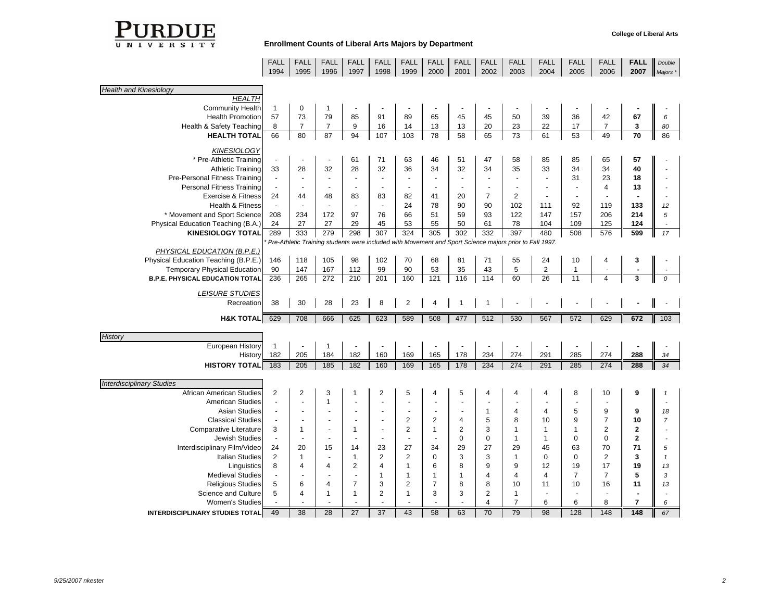

|                                        | FALL<br>1994             | FALL<br>1995    | FALL<br>1996             | FALL<br>1997    | FALL<br>1998             | FALL<br>1999     | FALL<br>2000   | FALL<br>2001             | FALL<br>2002                     | FALL<br>2003                                                                                            | FALL<br>2004   | <b>FALL</b><br>2005 | FALL<br>2006            | <b>FALL</b><br>2007 | Double<br>Majors * |
|----------------------------------------|--------------------------|-----------------|--------------------------|-----------------|--------------------------|------------------|----------------|--------------------------|----------------------------------|---------------------------------------------------------------------------------------------------------|----------------|---------------------|-------------------------|---------------------|--------------------|
| <b>Health and Kinesiology</b>          |                          |                 |                          |                 |                          |                  |                |                          |                                  |                                                                                                         |                |                     |                         |                     |                    |
| <b>HEALTH</b>                          |                          |                 |                          |                 |                          |                  |                |                          |                                  |                                                                                                         |                |                     |                         |                     |                    |
| <b>Community Health</b>                | $\mathbf{1}$             | $\mathbf 0$     | 1                        |                 |                          |                  |                |                          |                                  |                                                                                                         |                |                     |                         |                     |                    |
| <b>Health Promotion</b>                | 57                       | 73              | 79                       | 85              | 91                       | 89               | 65             | 45                       | 45                               | 50                                                                                                      | 39             | 36                  | 42                      | 67                  | 6                  |
| Health & Safety Teaching               | 8                        | $\overline{7}$  | $\overline{7}$           | 9               | 16                       | 14               | 13             | 13                       | 20                               | 23                                                                                                      | 22             | 17                  | $\overline{7}$          | 3                   | 80                 |
| <b>HEALTH TOTAL</b>                    | 66                       | 80              | 87                       | 94              | 107                      | 103              | 78             | 58                       | 65                               | 73                                                                                                      | 61             | 53                  | 49                      | 70                  | 86                 |
| <b>KINESIOLOGY</b>                     |                          |                 |                          |                 |                          |                  |                |                          |                                  |                                                                                                         |                |                     |                         |                     |                    |
| * Pre-Athletic Training                | $\overline{\phantom{a}}$ |                 | $\overline{\phantom{a}}$ | 61              | 71                       | 63               | 46             | 51                       | 47                               | 58                                                                                                      | 85             | 85                  | 65                      | 57                  |                    |
| <b>Athletic Training</b>               | 33                       | 28              | 32                       | 28              | 32                       | 36               | 34             | 32                       | 34                               | 35                                                                                                      | 33             | 34                  | 34                      | 40                  |                    |
| Pre-Personal Fitness Training          | $\overline{\phantom{a}}$ |                 |                          |                 | $\overline{\phantom{a}}$ |                  |                | $\overline{\phantom{a}}$ |                                  |                                                                                                         |                | 31                  | 23                      | 18                  |                    |
| <b>Personal Fitness Training</b>       | $\overline{\phantom{a}}$ |                 |                          |                 | $\overline{\phantom{a}}$ |                  |                | $\overline{\phantom{a}}$ | $\blacksquare$                   |                                                                                                         |                |                     | $\overline{\mathbf{4}}$ | 13                  |                    |
| <b>Exercise &amp; Fitness</b>          | 24                       | 44              | 48                       | 83              | 83                       | 82               | 41             | 20                       | $\overline{7}$                   | $\overline{2}$                                                                                          |                |                     |                         |                     |                    |
| Health & Fitness                       | $\overline{\phantom{a}}$ |                 |                          |                 | $\sim$                   | 24               | 78             | 90                       | 90                               | 102                                                                                                     | 111            | 92                  | 119                     | 133                 | 12                 |
| * Movement and Sport Science           | 208                      | 234             | 172                      | 97              | 76                       | 66               | 51             | 59                       | 93                               | 122                                                                                                     | 147            | 157                 | 206                     | 214                 | 5                  |
| Physical Education Teaching (B.A.)     | 24                       | 27              | 27                       | 29              | 45                       | 53               | 55             | 50                       | 61                               | 78                                                                                                      | 104            | 109                 | 125                     | 124                 |                    |
| <b>KINESIOLOGY TOTAL</b>               | 289                      | 333             | 279                      | 298             | 307                      | 324              | 305            | 302                      | 332                              | 397                                                                                                     | 480            | 508                 | 576                     | 599                 | 17                 |
|                                        |                          |                 |                          |                 |                          |                  |                |                          |                                  | Pre-Athletic Training students were included with Movement and Sport Science majors prior to Fall 1997. |                |                     |                         |                     |                    |
| PHYSICAL EDUCATION (B.P.E.)            |                          |                 |                          |                 |                          |                  |                |                          |                                  |                                                                                                         |                |                     |                         |                     |                    |
| Physical Education Teaching (B.P.E.)   | 146                      | 118             | 105                      | 98              | 102                      | 70               | 68             | 81                       | 71                               | 55                                                                                                      | 24             | 10                  | 4                       | 3                   |                    |
| <b>Temporary Physical Education</b>    | 90                       | 147             | 167                      | 112             | 99                       | 90               | 53             | 35                       | 43                               | 5                                                                                                       | $\overline{2}$ | $\mathbf{1}$        |                         |                     |                    |
| <b>B.P.E. PHYSICAL EDUCATION TOTAL</b> | 236                      | 265             | 272                      | 210             | 201                      | 160              | 121            | 116                      | 114                              | 60                                                                                                      | 26             | 11                  |                         |                     |                    |
| <b>LEISURE STUDIES</b>                 |                          |                 |                          |                 |                          |                  |                |                          |                                  |                                                                                                         |                |                     |                         |                     |                    |
| Recreation                             | 38                       | 30              | 28                       | 23              | 8                        | $\overline{2}$   | 4              |                          |                                  |                                                                                                         |                |                     |                         |                     |                    |
| <b>H&amp;K TOTAL</b>                   | 629                      | 708             | 666                      | 625             | 623                      | 589              | 508            | 477                      | 512                              | 530                                                                                                     | 567            | 572                 | 629                     | 672                 | 103                |
| History                                |                          |                 |                          |                 |                          |                  |                |                          |                                  |                                                                                                         |                |                     |                         |                     |                    |
| European History                       | $\mathbf{1}$             |                 | $\mathbf{1}$             |                 |                          |                  |                |                          |                                  |                                                                                                         |                |                     |                         |                     |                    |
| History                                | 182                      | 205             | 184                      | 182             | 160                      | 169              | 165            | 178                      | 234                              | 274                                                                                                     | 291            | 285                 | 274                     | 288                 | 34                 |
| <b>HISTORY TOTAL</b>                   | 183                      | 205             | 185                      | 182             | 160                      | 169              | 165            | 178                      | 234                              | 274                                                                                                     | 291            | 285                 | 274                     | 288                 | 34                 |
|                                        |                          |                 |                          |                 |                          |                  |                |                          |                                  |                                                                                                         |                |                     |                         |                     |                    |
| <b>Interdisciplinary Studies</b>       |                          |                 |                          |                 |                          |                  |                |                          |                                  |                                                                                                         |                |                     |                         |                     |                    |
| African American Studies               | $\overline{2}$           | $\overline{2}$  | 3                        |                 | 2                        | 5                |                | 5                        | 4                                |                                                                                                         |                | 8                   | 10                      | 9                   |                    |
| <b>American Studies</b>                | $\overline{a}$           |                 | $\mathbf{1}$             |                 |                          |                  |                |                          |                                  |                                                                                                         |                |                     |                         |                     |                    |
| <b>Asian Studies</b>                   | $\overline{\phantom{a}}$ |                 |                          |                 |                          |                  |                | ÷,                       | $\mathbf{1}$                     | 4                                                                                                       | 4              | 5                   | 9                       | 9                   | 18                 |
| <b>Classical Studies</b>               | $\overline{\phantom{a}}$ |                 |                          |                 |                          | $\boldsymbol{2}$ | $\overline{2}$ | 4                        | 5                                | 8                                                                                                       | 10             | 9                   | $\overline{7}$          | 10                  | $\overline{7}$     |
| Comparative Literature                 | 3                        | $\mathbf{1}$    |                          | 1               | $\overline{a}$           | 2                | $\mathbf{1}$   | $\overline{2}$           | 3                                | $\mathbf{1}$                                                                                            | 1              | 1                   | $\overline{2}$          | $\mathbf{2}$        |                    |
| <b>Jewish Studies</b>                  | $\blacksquare$           |                 |                          |                 | $\overline{a}$           |                  |                | $\mathbf 0$              | $\mathbf 0$                      | $\mathbf{1}$                                                                                            | $\mathbf{1}$   | 0                   | $\mathbf 0$             | $\mathbf{2}$        |                    |
| Interdisciplinary Film/Video           | 24                       | 20              | 15                       | 14              | 23                       | 27               | 34             | 29                       | 27                               | 29                                                                                                      | 45             | 63                  | 70                      | 71                  | 5                  |
| <b>Italian Studies</b>                 | 2                        | 1               |                          | $\mathbf{1}$    | $\overline{2}$           | $\overline{2}$   | $\mathbf 0$    | 3                        | 3                                | $\mathbf{1}$                                                                                            | $\mathbf 0$    | $\Omega$            | 2                       | 3                   | $\mathbf{1}$       |
| Linguistics                            | 8                        | 4               | 4                        | 2               | 4                        | $\mathbf{1}$     | 6              | 8                        | 9                                | 9                                                                                                       | 12             | 19                  | 17                      | 19                  | 13                 |
| <b>Medieval Studies</b>                | $\overline{\phantom{a}}$ |                 |                          |                 | $\mathbf{1}$             | $\mathbf{1}$     | 1              | $\mathbf{1}$             | 4                                | 4                                                                                                       | $\overline{4}$ | $\overline{7}$      | $\overline{7}$          | 5                   | 3                  |
| <b>Religious Studies</b>               | 5                        | 6               | 4                        | $\overline{7}$  | 3                        | $\overline{2}$   | $\overline{7}$ | 8                        | 8                                | 10                                                                                                      | 11             | 10                  | 16                      | 11                  | 13                 |
| Science and Culture                    | 5                        | 4               | 1                        | $\mathbf{1}$    | $\overline{2}$           | $\mathbf{1}$     | 3              | 3                        | $\overline{2}$<br>$\overline{4}$ | $\mathbf{1}$<br>$\overline{7}$                                                                          |                | 6                   | 8                       | $\overline{7}$      |                    |
| Women's Studies                        |                          |                 |                          |                 |                          |                  |                |                          |                                  |                                                                                                         | 6              |                     |                         |                     | 6                  |
| <b>INTERDISCIPLINARY STUDIES TOTAL</b> | 49                       | $\overline{38}$ | 28                       | $\overline{27}$ | $\overline{37}$          | 43               | 58             | 63                       | 70                               | 79                                                                                                      | 98             | 128                 | 148                     | 148                 | 67                 |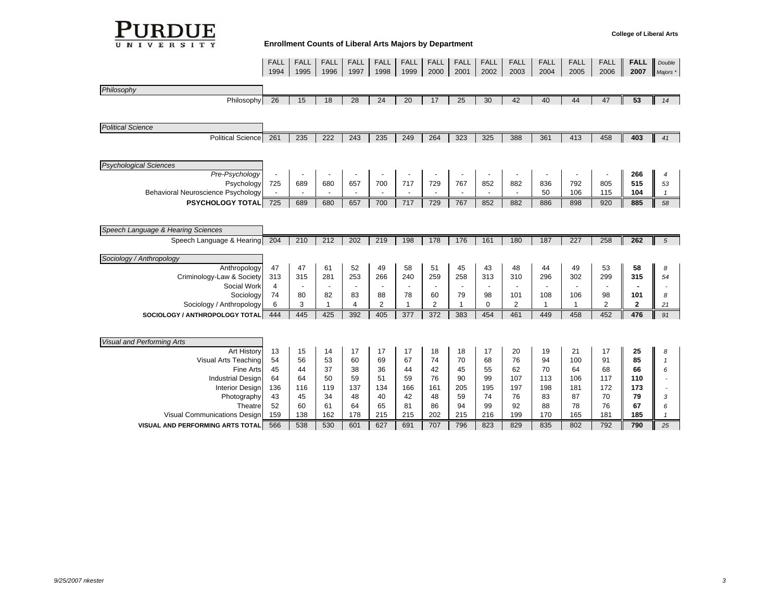

|                                    | FALL<br>1994   | FALL<br>1995 | FALL<br>1996             | FALL<br>1997 | FALL<br>1998   | FALL<br>1999 | FALL<br>2000             | FALL<br>2001             | FALL<br>2002 | FALL<br>2003   | FALL<br>2004 | FALL<br>2005 | FALL<br>2006   | <b>FALL</b><br>2007 | Double<br>Majors * |
|------------------------------------|----------------|--------------|--------------------------|--------------|----------------|--------------|--------------------------|--------------------------|--------------|----------------|--------------|--------------|----------------|---------------------|--------------------|
|                                    |                |              |                          |              |                |              |                          |                          |              |                |              |              |                |                     |                    |
| Philosophy                         |                |              |                          |              |                |              |                          |                          |              |                |              |              |                |                     |                    |
| Philosophy                         | 26             | 15           | 18                       | 28           | 24             | 20           | 17                       | 25                       | 30           | 42             | 40           | 44           | 47             | 53                  | 14                 |
|                                    |                |              |                          |              |                |              |                          |                          |              |                |              |              |                |                     |                    |
| <b>Political Science</b>           |                |              |                          |              |                |              |                          |                          |              |                |              |              |                |                     |                    |
| <b>Political Science</b>           | 261            | 235          | 222                      | 243          | 235            | 249          | 264                      | 323                      | 325          | 388            | 361          | 413          | 458            | 403                 | 41                 |
|                                    |                |              |                          |              |                |              |                          |                          |              |                |              |              |                |                     |                    |
| <b>Psychological Sciences</b>      |                |              |                          |              |                |              |                          |                          |              |                |              |              |                |                     |                    |
| Pre-Psychology                     |                |              |                          |              |                |              |                          |                          |              |                |              |              |                | 266                 | 4                  |
| Psychology                         | 725            | 689          | 680                      | 657          | 700            | 717          | 729                      | 767                      | 852          | 882            | 836          | 792          | 805            | 515                 | 53                 |
| Behavioral Neuroscience Psychology |                |              |                          |              |                |              |                          |                          |              |                | 50           | 106          | 115            | 104                 | $\overline{1}$     |
| <b>PSYCHOLOGY TOTAL</b>            | 725            | 689          | 680                      | 657          | 700            | 717          | 729                      | 767                      | 852          | 882            | 886          | 898          | 920            | 885                 | 58                 |
|                                    |                |              |                          |              |                |              |                          |                          |              |                |              |              |                |                     |                    |
| Speech Language & Hearing Sciences |                |              |                          |              |                |              |                          |                          |              |                |              |              |                |                     |                    |
| Speech Language & Hearing          | 204            | 210          | 212                      | 202          | 219            | 198          | 178                      | 176                      | 161          | 180            | 187          | 227          | 258            | 262                 | 5                  |
|                                    |                |              |                          |              |                |              |                          |                          |              |                |              |              |                |                     |                    |
| Sociology / Anthropology           |                |              |                          |              |                |              |                          |                          |              |                |              |              |                |                     |                    |
| Anthropology                       | 47             | 47           | 61                       | 52           | 49             | 58           | 51                       | 45                       | 43           | 48             | 44           | 49           | 53             | 58                  | 8                  |
| Criminology-Law & Society          | 313            | 315          | 281                      | 253          | 266            | 240          | 259                      | 258                      | 313          | 310            | 296          | 302          | 299            | 315                 | 54                 |
| Social Work                        | $\overline{4}$ |              | $\overline{\phantom{a}}$ |              |                |              | $\overline{\phantom{a}}$ | $\overline{\phantom{a}}$ |              |                |              |              |                |                     |                    |
| Sociology                          | 74             | 80           | 82                       | 83           | 88             | 78<br>-1     | 60                       | 79                       | 98           | 101            | 108          | 106          | 98             | 101                 | 8                  |
| Sociology / Anthropology           | 6              | 3            | $\mathbf{1}$             | 4            | $\overline{c}$ |              | $\overline{2}$           | $\overline{1}$           | $\mathbf 0$  | $\overline{2}$ | 1            | $\mathbf{1}$ | $\overline{2}$ | $\mathbf{2}$        | 21                 |
| SOCIOLOGY / ANTHROPOLOGY TOTAL     | 444            | 445          | 425                      | 392          | 405            | 377          | 372                      | 383                      | 454          | 461            | 449          | 458          | 452            | 476                 | 91                 |
|                                    |                |              |                          |              |                |              |                          |                          |              |                |              |              |                |                     |                    |
| <b>Visual and Performing Arts</b>  |                |              |                          |              |                |              |                          |                          |              |                |              |              |                |                     |                    |
| <b>Art History</b>                 | 13             | 15           | 14                       | 17           | 17             | 17           | 18                       | 18                       | 17           | 20             | 19           | 21           | 17             | 25                  | 8                  |
| Visual Arts Teaching               | 54             | 56           | 53                       | 60           | 69             | 67           | 74                       | 70                       | 68           | 76             | 94           | 100          | 91             | 85                  | $\mathbf{1}$       |
| <b>Fine Arts</b>                   | 45             | 44           | 37                       | 38           | 36             | 44           | 42                       | 45                       | 55           | 62             | 70           | 64           | 68             | 66                  | 6                  |
| <b>Industrial Design</b>           | 64             | 64           | 50                       | 59           | 51             | 59           | 76                       | 90                       | 99           | 107            | 113          | 106          | 117            | 110                 |                    |
| <b>Interior Design</b>             | 136            | 116          | 119                      | 137          | 134            | 166          | 161                      | 205                      | 195          | 197            | 198          | 181          | 172            | 173                 |                    |
| Photography                        | 43             | 45           | 34                       | 48           | 40             | 42           | 48                       | 59                       | 74           | 76             | 83           | 87           | 70             | 79                  | 3                  |
| Theatre                            | 52             | 60           | 61                       | 64           | 65             | 81           | 86                       | 94                       | 99           | 92             | 88           | 78           | 76             | 67                  | 6                  |
| Visual Communications Design       | 159            | 138          | 162                      | 178          | 215            | 215          | 202                      | 215                      | 216          | 199            | 170          | 165          | 181            | 185                 |                    |
| VISUAL AND PERFORMING ARTS TOTAL   | 566            | 538          | 530                      | 601          | 627            | 691          | 707                      | 796                      | 823          | 829            | 835          | 802          | 792            | 790                 | 25                 |